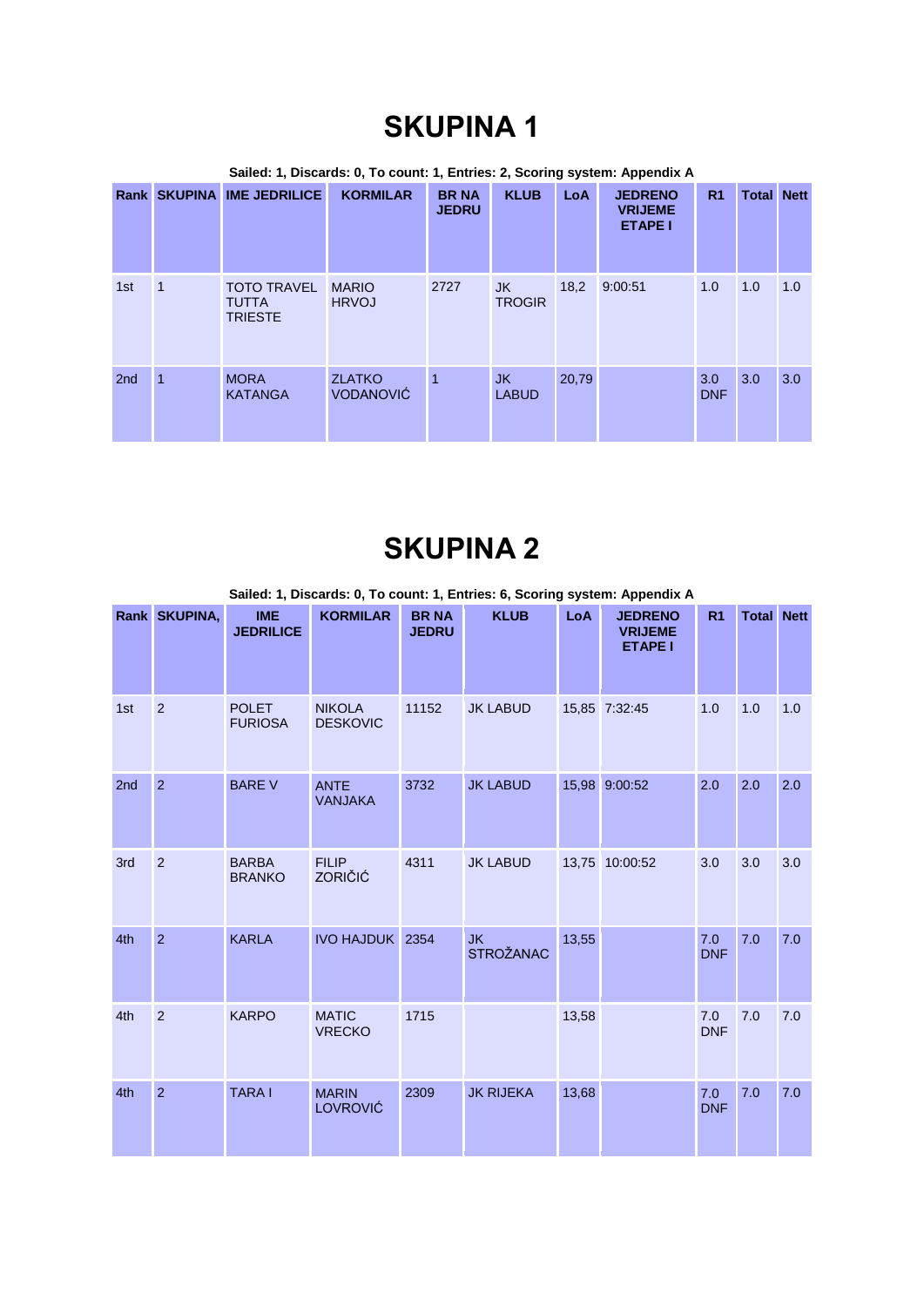|                 |   | Rank SKUPINA IME JEDRILICE                           | <b>KORMILAR</b>                   | <b>BR NA</b><br><b>JEDRU</b> | <b>KLUB</b>          | LoA   | <b>JEDRENO</b><br><b>VRIJEME</b><br><b>ETAPE I</b> | R <sub>1</sub>    | <b>Total Nett</b> |     |
|-----------------|---|------------------------------------------------------|-----------------------------------|------------------------------|----------------------|-------|----------------------------------------------------|-------------------|-------------------|-----|
| 1st             |   | <b>TOTO TRAVEL</b><br><b>TUTTA</b><br><b>TRIESTE</b> | <b>MARIO</b><br><b>HRVOJ</b>      | 2727                         | JK.<br><b>TROGIR</b> | 18,2  | 9:00:51                                            | 1.0               | 1.0               | 1.0 |
| 2 <sub>nd</sub> | 1 | <b>MORA</b><br><b>KATANGA</b>                        | <b>ZLATKO</b><br><b>VODANOVIĆ</b> | $\overline{1}$               | JK.<br><b>LABUD</b>  | 20,79 |                                                    | 3.0<br><b>DNF</b> | 3.0               | 3.0 |

## **SKUPINA 2**

**Sailed: 1, Discards: 0, To count: 1, Entries: 6, Scoring system: Appendix A**

|     | Rank SKUPINA,  | <b>IME</b><br><b>JEDRILICE</b> | <b>KORMILAR</b>                  | <b>BR NA</b><br><b>JEDRU</b> | <b>KLUB</b>                   | LoA   | <b>JEDRENO</b><br><b>VRIJEME</b><br><b>ETAPE I</b> | R <sub>1</sub>    | <b>Total Nett</b> |     |
|-----|----------------|--------------------------------|----------------------------------|------------------------------|-------------------------------|-------|----------------------------------------------------|-------------------|-------------------|-----|
| 1st | $\overline{2}$ | <b>POLET</b><br><b>FURIOSA</b> | <b>NIKOLA</b><br><b>DESKOVIC</b> | 11152                        | <b>JK LABUD</b>               |       | 15,85 7:32:45                                      | 1.0               | 1.0               | 1.0 |
| 2nd | $\overline{2}$ | <b>BARE V</b>                  | <b>ANTE</b><br><b>VANJAKA</b>    | 3732                         | <b>JK LABUD</b>               | 15,98 | 9:00:52                                            | 2.0               | 2.0               | 2.0 |
| 3rd | $\overline{2}$ | <b>BARBA</b><br><b>BRANKO</b>  | <b>FILIP</b><br><b>ZORIČIĆ</b>   | 4311                         | <b>JK LABUD</b>               | 13,75 | 10:00:52                                           | 3.0               | 3.0               | 3.0 |
| 4th | $\overline{2}$ | <b>KARLA</b>                   | <b>IVO HAJDUK 2354</b>           |                              | <b>JK</b><br><b>STROŽANAC</b> | 13,55 |                                                    | 7.0<br><b>DNF</b> | 7.0               | 7.0 |
| 4th | $\overline{2}$ | <b>KARPO</b>                   | <b>MATIC</b><br><b>VRECKO</b>    | 1715                         |                               | 13,58 |                                                    | 7.0<br><b>DNF</b> | 7.0               | 7.0 |
| 4th | $\overline{2}$ | <b>TARA I</b>                  | <b>MARIN</b><br>LOVROVIĆ         | 2309                         | <b>JK RIJEKA</b>              | 13,68 |                                                    | 7.0<br><b>DNF</b> | 7.0               | 7.0 |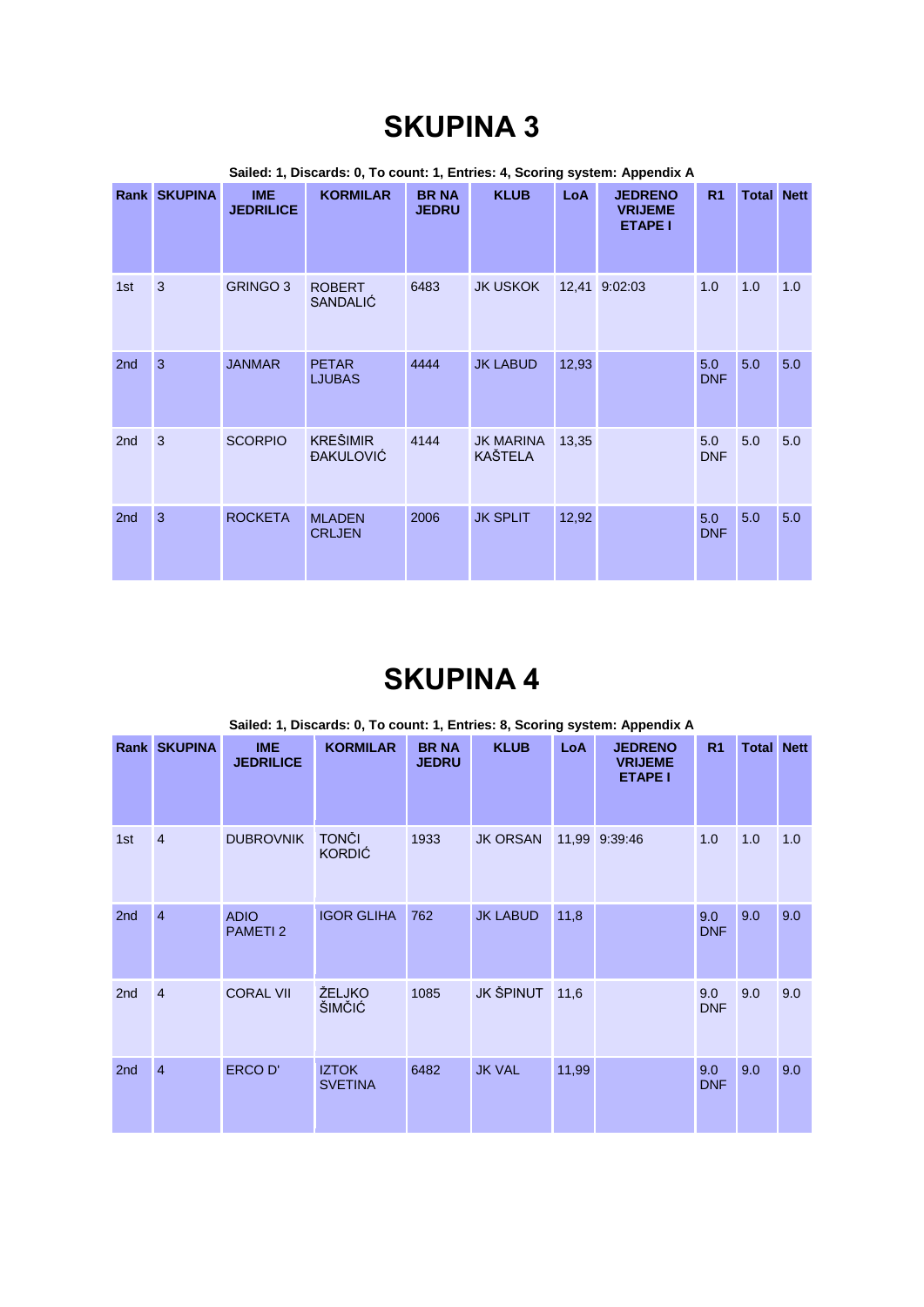|                 | Sailed: 1, Discards: 0, To count: 1, Entries: 4, Scoring system: Appendix A |                                |                                     |                              |                                    |            |                                                    |                   |                   |     |  |  |
|-----------------|-----------------------------------------------------------------------------|--------------------------------|-------------------------------------|------------------------------|------------------------------------|------------|----------------------------------------------------|-------------------|-------------------|-----|--|--|
|                 | Rank SKUPINA                                                                | <b>IME</b><br><b>JEDRILICE</b> | <b>KORMILAR</b>                     | <b>BR NA</b><br><b>JEDRU</b> | <b>KLUB</b>                        | <b>LoA</b> | <b>JEDRENO</b><br><b>VRIJEME</b><br><b>ETAPE I</b> | R <sub>1</sub>    | <b>Total Nett</b> |     |  |  |
| 1st             | $\overline{3}$                                                              | <b>GRINGO 3</b>                | <b>ROBERT</b><br><b>SANDALIĆ</b>    | 6483                         | <b>JK USKOK</b>                    |            | 12,41 9:02:03                                      | 1.0               | 1.0               | 1.0 |  |  |
| 2nd             | 3                                                                           | <b>JANMAR</b>                  | <b>PETAR</b><br><b>LJUBAS</b>       | 4444                         | <b>JK LABUD</b>                    | 12,93      |                                                    | 5.0<br><b>DNF</b> | 5.0               | 5.0 |  |  |
| 2 <sub>nd</sub> | 3                                                                           | <b>SCORPIO</b>                 | <b>KREŠIMIR</b><br><b>ĐAKULOVIĆ</b> | 4144                         | <b>JK MARINA</b><br><b>KAŠTELA</b> | 13,35      |                                                    | 5.0<br><b>DNF</b> | 5.0               | 5.0 |  |  |
| 2 <sub>nd</sub> | 3                                                                           | <b>ROCKETA</b>                 | <b>MI ADFN</b><br><b>CRLJEN</b>     | 2006                         | <b>JK SPLIT</b>                    | 12,92      |                                                    | 5.0<br><b>DNF</b> | 5.0               | 5.0 |  |  |

## **SKUPINA 4**

|                 | Sailed: 1, Discards: 0, To count: 1, Entries: 8, Scoring system: Appendix A |                                |                                |                              |                  |            |                                                    |                   |                   |     |  |  |  |
|-----------------|-----------------------------------------------------------------------------|--------------------------------|--------------------------------|------------------------------|------------------|------------|----------------------------------------------------|-------------------|-------------------|-----|--|--|--|
|                 | Rank SKUPINA                                                                | <b>IME</b><br><b>JEDRILICE</b> | <b>KORMILAR</b>                | <b>BR NA</b><br><b>JEDRU</b> | <b>KLUB</b>      | <b>LoA</b> | <b>JEDRENO</b><br><b>VRIJEME</b><br><b>ETAPE I</b> | R <sub>1</sub>    | <b>Total Nett</b> |     |  |  |  |
| 1st             | $\overline{4}$                                                              | <b>DUBROVNIK</b>               | <b>TONČI</b><br><b>KORDIĆ</b>  | 1933                         | <b>JK ORSAN</b>  |            | 11,99 9:39:46                                      | 1.0               | 1.0               | 1.0 |  |  |  |
| 2nd             | $\overline{4}$                                                              | <b>ADIO</b><br><b>PAMETI2</b>  | <b>IGOR GLIHA</b>              | 762                          | <b>JK LABUD</b>  | 11,8       |                                                    | 9.0<br><b>DNF</b> | 9.0               | 9.0 |  |  |  |
| 2 <sub>nd</sub> | $\overline{4}$                                                              | <b>CORAL VII</b>               | ŽELJKO<br>ŠIMČIĆ               | 1085                         | <b>JK ŠPINUT</b> | 11,6       |                                                    | 9.0<br><b>DNF</b> | 9.0               | 9.0 |  |  |  |
| 2 <sub>nd</sub> | $\overline{4}$                                                              | <b>ERCOD'</b>                  | <b>IZTOK</b><br><b>SVETINA</b> | 6482                         | <b>JK VAL</b>    | 11,99      |                                                    | 9.0<br><b>DNF</b> | 9.0               | 9.0 |  |  |  |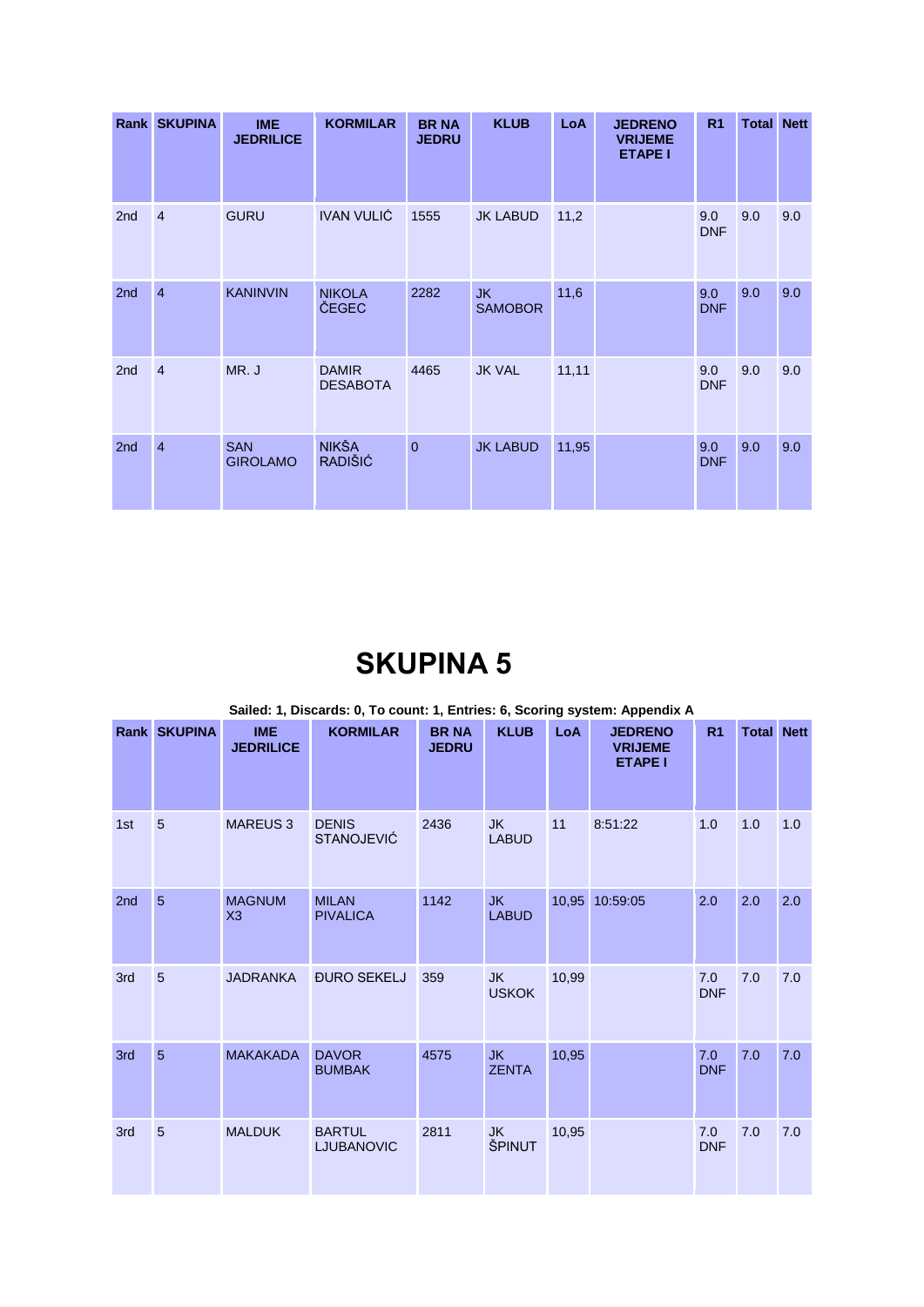|                 | <b>Rank SKUPINA</b> | <b>IME</b><br><b>JEDRILICE</b> | <b>KORMILAR</b>                 | <b>BRNA</b><br><b>JEDRU</b> | <b>KLUB</b>                 | <b>LoA</b> | <b>JEDRENO</b><br><b>VRIJEME</b><br><b>ETAPE I</b> | R <sub>1</sub>    | <b>Total Nett</b> |     |
|-----------------|---------------------|--------------------------------|---------------------------------|-----------------------------|-----------------------------|------------|----------------------------------------------------|-------------------|-------------------|-----|
| 2 <sub>nd</sub> | $\overline{4}$      | <b>GURU</b>                    | <b>IVAN VULIĆ</b>               | 1555                        | <b>JK LABUD</b>             | 11,2       |                                                    | 9.0<br><b>DNF</b> | 9.0               | 9.0 |
| 2nd             | $\overline{4}$      | <b>KANINVIN</b>                | <b>NIKOLA</b><br>ČEGEC          | 2282                        | <b>JK</b><br><b>SAMOBOR</b> | 11,6       |                                                    | 9.0<br><b>DNF</b> | 9.0               | 9.0 |
| 2nd             | $\overline{4}$      | MR. J                          | <b>DAMIR</b><br><b>DESABOTA</b> | 4465                        | <b>JK VAL</b>               | 11,11      |                                                    | 9.0<br><b>DNF</b> | 9.0               | 9.0 |
| 2nd             | $\overline{4}$      | <b>SAN</b><br><b>GIROLAMO</b>  | <b>NIKŠA</b><br>RADIŠIĆ         | $\mathbf{0}$                | <b>JK LABUD</b>             | 11,95      |                                                    | 9.0<br><b>DNF</b> | 9.0               | 9.0 |

|     |                 |                                | Sailed: 1, Discards: 0, To count: 1, Entries: 6, Scoring system: Appendix A |                              |                           |       |                                                    |                   |                   |     |
|-----|-----------------|--------------------------------|-----------------------------------------------------------------------------|------------------------------|---------------------------|-------|----------------------------------------------------|-------------------|-------------------|-----|
|     | Rank SKUPINA    | <b>IME</b><br><b>JEDRILICE</b> | <b>KORMILAR</b>                                                             | <b>BR NA</b><br><b>JEDRU</b> | <b>KLUB</b>               | LoA   | <b>JEDRENO</b><br><b>VRIJEME</b><br><b>ETAPE I</b> | R <sub>1</sub>    | <b>Total Nett</b> |     |
| 1st | 5               | <b>MAREUS 3</b>                | <b>DENIS</b><br><b>STANOJEVIĆ</b>                                           | 2436                         | <b>JK</b><br><b>LABUD</b> | 11    | 8:51:22                                            | 1.0               | 1.0               | 1.0 |
| 2nd | $5\overline{5}$ | <b>MAGNUM</b><br>X3            | <b>MILAN</b><br><b>PIVALICA</b>                                             | 1142                         | <b>JK</b><br><b>LABUD</b> |       | 10,95 10:59:05                                     | 2.0               | 2.0               | 2.0 |
| 3rd | 5               | <b>JADRANKA</b>                | <b>ĐURO SEKELJ</b>                                                          | 359                          | <b>JK</b><br><b>USKOK</b> | 10,99 |                                                    | 7.0<br><b>DNF</b> | 7.0               | 7.0 |
| 3rd | 5               | <b>MAKAKADA</b>                | <b>DAVOR</b><br><b>BUMBAK</b>                                               | 4575                         | <b>JK</b><br><b>ZENTA</b> | 10,95 |                                                    | 7.0<br><b>DNF</b> | 7.0               | 7.0 |
| 3rd | 5               | <b>MALDUK</b>                  | <b>BARTUL</b><br><b>LJUBANOVIC</b>                                          | 2811                         | <b>JK</b><br>ŠPINUT       | 10,95 |                                                    | 7.0<br><b>DNF</b> | 7.0               | 7.0 |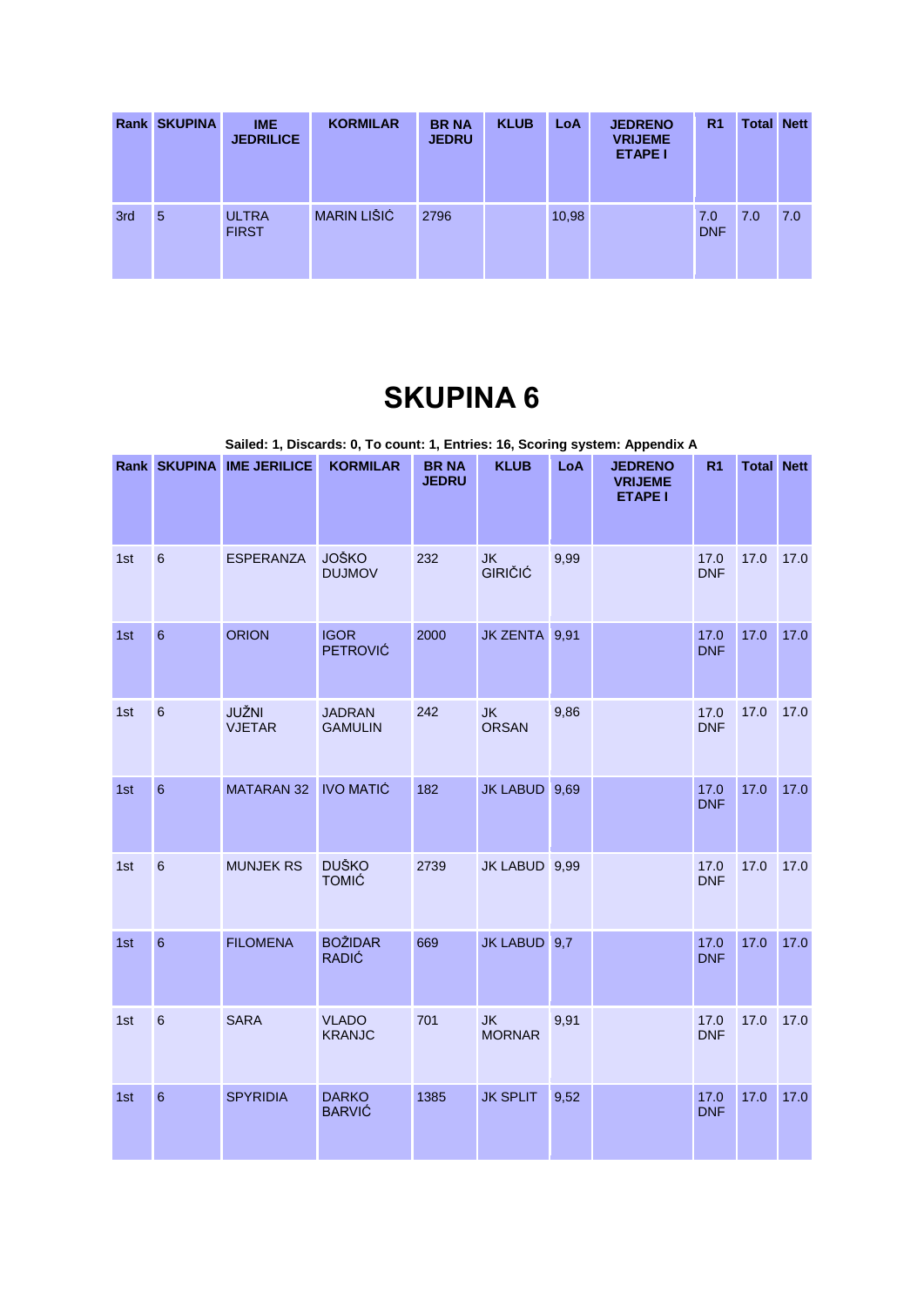|     | <b>Rank SKUPINA</b> | <b>IME</b><br><b>JEDRILICE</b> | <b>KORMILAR</b>    | <b>BR NA</b><br><b>JEDRU</b> | <b>KLUB</b> | LoA   | <b>JEDRENO</b><br><b>VRIJEME</b><br><b>ETAPE I</b> | R <sub>1</sub>    | <b>Total Nett</b> |     |
|-----|---------------------|--------------------------------|--------------------|------------------------------|-------------|-------|----------------------------------------------------|-------------------|-------------------|-----|
| 3rd | 5                   | <b>ULTRA</b><br><b>FIRST</b>   | <b>MARIN LIŠIĆ</b> | 2796                         |             | 10,98 |                                                    | 7.0<br><b>DNF</b> | 7.0               | 7.0 |

|     |                 |                           |                                 |                              |                             |      | Sailed: 1, Discards: 0, To count: 1, Entries: 16, Scoring system: Appendix A |                    |                   |      |
|-----|-----------------|---------------------------|---------------------------------|------------------------------|-----------------------------|------|------------------------------------------------------------------------------|--------------------|-------------------|------|
|     |                 | Rank SKUPINA IME JERILICE | <b>KORMILAR</b>                 | <b>BR NA</b><br><b>JEDRU</b> | <b>KLUB</b>                 | LoA  | <b>JEDRENO</b><br><b>VRIJEME</b><br><b>ETAPE I</b>                           | R <sub>1</sub>     | <b>Total Nett</b> |      |
| 1st | $6\phantom{a}$  | <b>ESPERANZA</b>          | <b>JOŠKO</b><br><b>DUJMOV</b>   | 232                          | <b>JK</b><br><b>GIRIČIĆ</b> | 9,99 |                                                                              | 17.0<br><b>DNF</b> | 17.0              | 17.0 |
| 1st | $6\phantom{a}$  | <b>ORION</b>              | <b>IGOR</b><br><b>PETROVIĆ</b>  | 2000                         | JK ZENTA 9,91               |      |                                                                              | 17.0<br><b>DNF</b> | 17.0              | 17.0 |
| 1st | $6\phantom{a}$  | JUŽNI<br><b>VJETAR</b>    | <b>JADRAN</b><br><b>GAMULIN</b> | 242                          | <b>JK</b><br><b>ORSAN</b>   | 9,86 |                                                                              | 17.0<br><b>DNF</b> | 17.0              | 17.0 |
| 1st | $6\phantom{a}$  | MATARAN 32 IVO MATIĆ      |                                 | 182                          | JK LABUD 9,69               |      |                                                                              | 17.0<br><b>DNF</b> | 17.0              | 17.0 |
| 1st | $6\phantom{1}6$ | <b>MUNJEK RS</b>          | <b>DUŠKO</b><br><b>TOMIĆ</b>    | 2739                         | JK LABUD 9,99               |      |                                                                              | 17.0<br><b>DNF</b> | 17.0              | 17.0 |
| 1st | $6\phantom{a}$  | <b>FILOMENA</b>           | <b>BOŽIDAR</b><br><b>RADIĆ</b>  | 669                          | JK LABUD 9,7                |      |                                                                              | 17.0<br><b>DNF</b> | 17.0              | 17.0 |
| 1st | $6\phantom{a}$  | <b>SARA</b>               | <b>VLADO</b><br><b>KRANJC</b>   | 701                          | <b>JK</b><br><b>MORNAR</b>  | 9,91 |                                                                              | 17.0<br><b>DNF</b> | 17.0              | 17.0 |
| 1st | $6\phantom{a}$  | <b>SPYRIDIA</b>           | <b>DARKO</b><br><b>BARVIĆ</b>   | 1385                         | <b>JK SPLIT</b>             | 9,52 |                                                                              | 17.0<br><b>DNF</b> | 17.0              | 17.0 |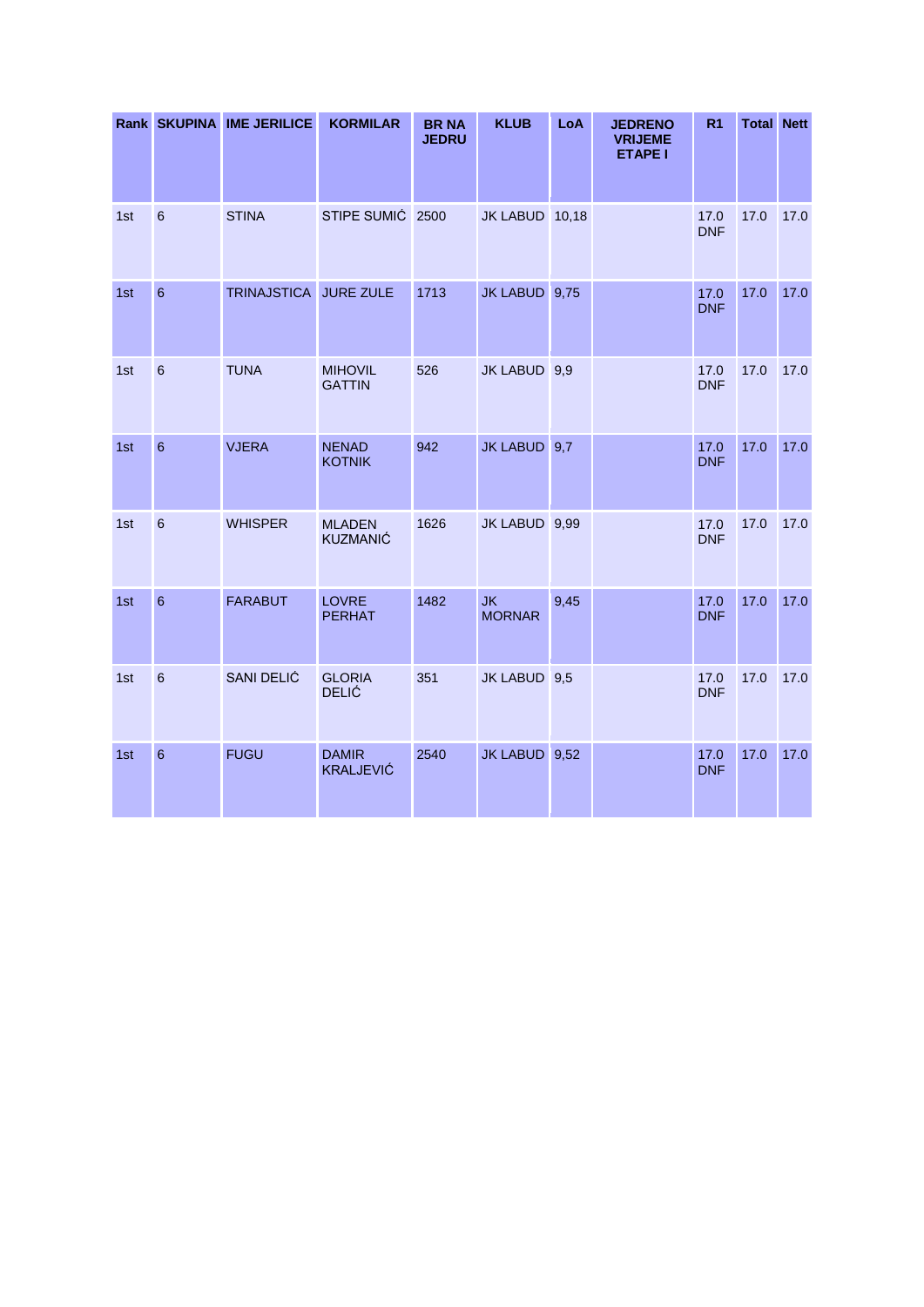|     |                  | Rank SKUPINA IME JERILICE | <b>KORMILAR</b>                  | <b>BR NA</b><br><b>JEDRU</b> | <b>KLUB</b>                | LoA  | <b>JEDRENO</b><br><b>VRIJEME</b><br><b>ETAPE I</b> | R <sub>1</sub>     | <b>Total Nett</b> |      |
|-----|------------------|---------------------------|----------------------------------|------------------------------|----------------------------|------|----------------------------------------------------|--------------------|-------------------|------|
| 1st | $\boldsymbol{6}$ | <b>STINA</b>              | STIPE SUMIĆ 2500                 |                              | JK LABUD 10,18             |      |                                                    | 17.0<br><b>DNF</b> | 17.0              | 17.0 |
| 1st | $6\phantom{1}6$  | TRINAJSTICA JURE ZULE     |                                  | 1713                         | JK LABUD 9,75              |      |                                                    | 17.0<br><b>DNF</b> | 17.0              | 17.0 |
| 1st | $\,6\,$          | <b>TUNA</b>               | <b>MIHOVIL</b><br><b>GATTIN</b>  | 526                          | JK LABUD 9,9               |      |                                                    | 17.0<br><b>DNF</b> | 17.0              | 17.0 |
| 1st | $6\phantom{a}$   | <b>VJERA</b>              | <b>NENAD</b><br><b>KOTNIK</b>    | 942                          | JK LABUD 9,7               |      |                                                    | 17.0<br><b>DNF</b> | 17.0              | 17.0 |
| 1st | $6\phantom{1}6$  | <b>WHISPER</b>            | <b>MLADEN</b><br><b>KUZMANIĆ</b> | 1626                         | JK LABUD 9,99              |      |                                                    | 17.0<br><b>DNF</b> | 17.0              | 17.0 |
| 1st | $6\phantom{a}$   | <b>FARABUT</b>            | <b>LOVRE</b><br><b>PERHAT</b>    | 1482                         | <b>JK</b><br><b>MORNAR</b> | 9,45 |                                                    | 17.0<br><b>DNF</b> | 17.0              | 17.0 |
| 1st | $6\phantom{a}$   | SANI DELIĆ                | <b>GLORIA</b><br><b>DELIĆ</b>    | 351                          | JK LABUD 9,5               |      |                                                    | 17.0<br><b>DNF</b> | 17.0              | 17.0 |
| 1st | $6\phantom{1}6$  | <b>FUGU</b>               | <b>DAMIR</b><br><b>KRALJEVIĆ</b> | 2540                         | JK LABUD 9,52              |      |                                                    | 17.0<br><b>DNF</b> | 17.0              | 17.0 |